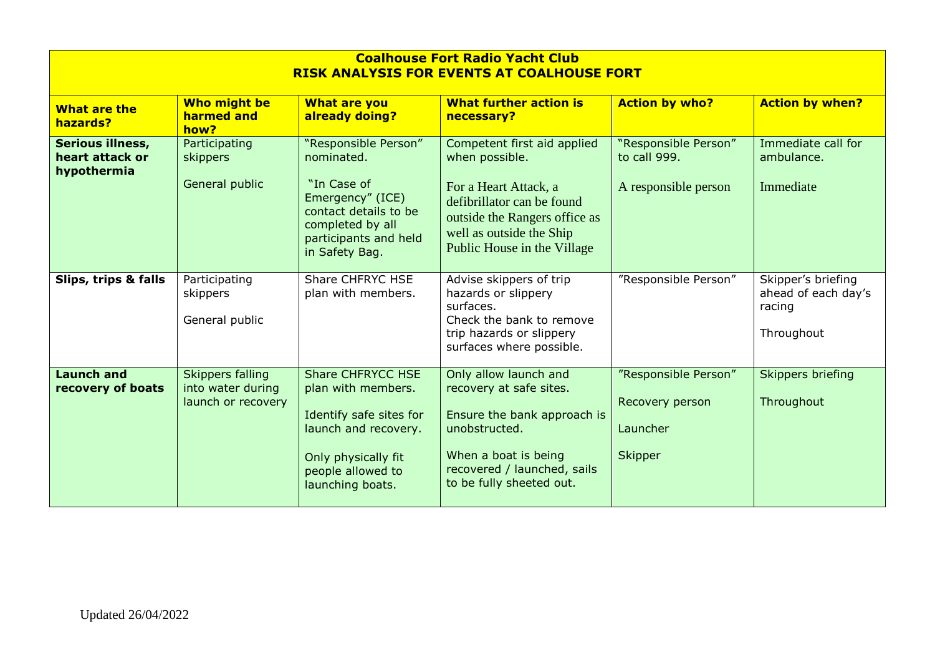| <b>Coalhouse Fort Radio Yacht Club</b><br><b>RISK ANALYSIS FOR EVENTS AT COALHOUSE FORT</b> |                                                                    |                                                                                                                                                                   |                                                                                                                                                                                                  |                                                                       |                                                                   |  |  |
|---------------------------------------------------------------------------------------------|--------------------------------------------------------------------|-------------------------------------------------------------------------------------------------------------------------------------------------------------------|--------------------------------------------------------------------------------------------------------------------------------------------------------------------------------------------------|-----------------------------------------------------------------------|-------------------------------------------------------------------|--|--|
| What are the<br>hazards?                                                                    | Who might be<br>harmed and<br>how?                                 | <b>What are you</b><br>already doing?                                                                                                                             | <b>What further action is</b><br>necessary?                                                                                                                                                      | <b>Action by who?</b>                                                 | <b>Action by when?</b>                                            |  |  |
| Serious illness,<br>heart attack or<br>hypothermia                                          | Participating<br>skippers<br>General public                        | "Responsible Person"<br>nominated.<br>"In Case of<br>Emergency" (ICE)<br>contact details to be<br>completed by all<br>participants and held<br>in Safety Bag.     | Competent first aid applied<br>when possible.<br>For a Heart Attack, a<br>defibrillator can be found<br>outside the Rangers office as<br>well as outside the Ship<br>Public House in the Village | "Responsible Person"<br>to call 999.<br>A responsible person          | Immediate call for<br>ambulance.<br>Immediate                     |  |  |
| Slips, trips & falls                                                                        | Participating<br>skippers<br>General public                        | <b>Share CHFRYC HSE</b><br>plan with members.                                                                                                                     | Advise skippers of trip<br>hazards or slippery<br>surfaces.<br>Check the bank to remove<br>trip hazards or slippery<br>surfaces where possible.                                                  | "Responsible Person"                                                  | Skipper's briefing<br>ahead of each day's<br>racing<br>Throughout |  |  |
| <b>Launch and</b><br>recovery of boats                                                      | <b>Skippers falling</b><br>into water during<br>launch or recovery | <b>Share CHFRYCC HSE</b><br>plan with members.<br>Identify safe sites for<br>launch and recovery.<br>Only physically fit<br>people allowed to<br>launching boats. | Only allow launch and<br>recovery at safe sites.<br>Ensure the bank approach is<br>unobstructed.<br>When a boat is being<br>recovered / launched, sails<br>to be fully sheeted out.              | "Responsible Person"<br>Recovery person<br>Launcher<br><b>Skipper</b> | <b>Skippers briefing</b><br>Throughout                            |  |  |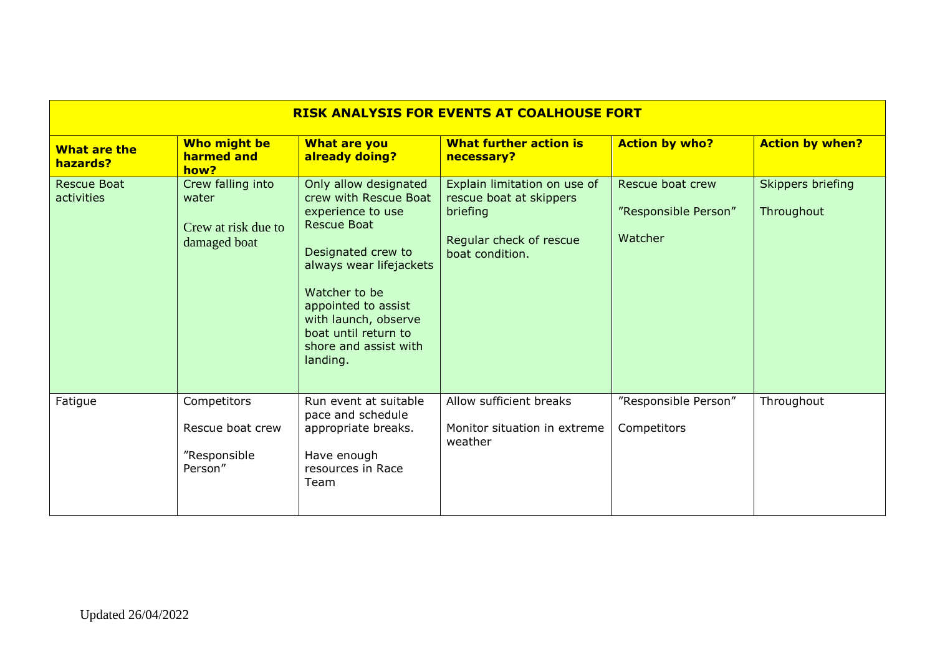| <b>RISK ANALYSIS FOR EVENTS AT COALHOUSE FORT</b> |                                                                   |                                                                                                                                                                                                                                                                         |                                                                                                                   |                                                     |                                 |  |  |
|---------------------------------------------------|-------------------------------------------------------------------|-------------------------------------------------------------------------------------------------------------------------------------------------------------------------------------------------------------------------------------------------------------------------|-------------------------------------------------------------------------------------------------------------------|-----------------------------------------------------|---------------------------------|--|--|
| <b>What are the</b><br>hazards?                   | Who might be<br>harmed and<br>how?                                | <b>What are you</b><br>already doing?                                                                                                                                                                                                                                   | <b>What further action is</b><br>necessary?                                                                       | <b>Action by who?</b>                               | <b>Action by when?</b>          |  |  |
| <b>Rescue Boat</b><br>activities                  | Crew falling into<br>water<br>Crew at risk due to<br>damaged boat | Only allow designated<br>crew with Rescue Boat<br>experience to use<br><b>Rescue Boat</b><br>Designated crew to<br>always wear lifejackets<br>Watcher to be<br>appointed to assist<br>with launch, observe<br>boat until return to<br>shore and assist with<br>landing. | Explain limitation on use of<br>rescue boat at skippers<br>briefing<br>Regular check of rescue<br>boat condition. | Rescue boat crew<br>"Responsible Person"<br>Watcher | Skippers briefing<br>Throughout |  |  |
| Fatigue                                           | Competitors<br>Rescue boat crew<br>"Responsible<br>Person"        | Run event at suitable<br>pace and schedule<br>appropriate breaks.<br>Have enough<br>resources in Race<br>Team                                                                                                                                                           | Allow sufficient breaks<br>Monitor situation in extreme<br>weather                                                | "Responsible Person"<br>Competitors                 | Throughout                      |  |  |